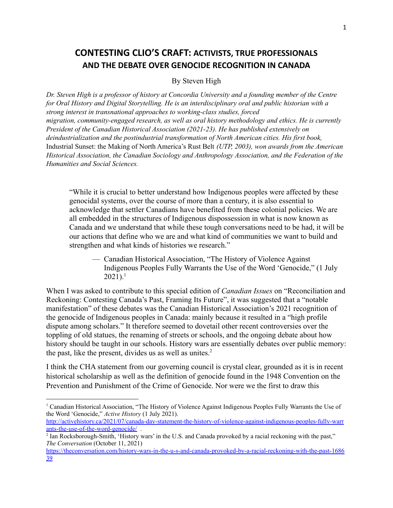## **CONTESTING CLIO'S CRAFT: ACTIVISTS, TRUE PROFESSIONALS AND THE DEBATE OVER GENOCIDE RECOGNITION IN CANADA**

## By Steven High

Dr. Steven High is a professor of history at Concordia University and a founding member of the Centre *for Oral History and Digital Storytelling. He is an interdisciplinary oral and public historian with a strong interest in transnational approaches to working-class studies, forced migration, community-engaged research, as well as oral history methodology and ethics. He is currently President of the Canadian Historical Association (2021-23). He has published extensively on deindustrialization and the postindustrial transformation of North American cities. His first book,* Industrial Sunset: the Making of North America's Rust Belt *(UTP, 2003), won awards from the American Historical Association, the Canadian Sociology and Anthropology Association, and the Federation of the Humanities and Social Sciences.*

"While it is crucial to better understand how Indigenous peoples were affected by these genocidal systems, over the course of more than a century, it is also essential to acknowledge that settler Canadians have benefited from these colonial policies. We are all embedded in the structures of Indigenous dispossession in what is now known as Canada and we understand that while these tough conversations need to be had, it will be our actions that define who we are and what kind of communities we want to build and strengthen and what kinds of histories we research."

— Canadian Historical Association, "The History of Violence Against Indigenous Peoples Fully Warrants the Use of the Word 'Genocide," (1 July  $2021$ ).<sup>1</sup>

When I was asked to contribute to this special edition of *Canadian Issues* on "Reconciliation and Reckoning: Contesting Canada's Past, Framing Its Future", it was suggested that a "notable manifestation" of these debates was the Canadian Historical Association's 2021 recognition of the genocide of Indigenous peoples in Canada: mainly because it resulted in a "high profile dispute among scholars." It therefore seemed to dovetail other recent controversies over the toppling of old statues, the renaming of streets or schools, and the ongoing debate about how history should be taught in our schools. History wars are essentially debates over public memory: the past, like the present, divides us as well as unites. $2$ 

I think the CHA statement from our governing council is crystal clear, grounded as it is in recent historical scholarship as well as the definition of genocide found in the 1948 Convention on the Prevention and Punishment of the Crime of Genocide. Nor were we the first to draw this

<sup>&</sup>lt;sup>1</sup> Canadian Historical Association, "The History of Violence Against Indigenous Peoples Fully Warrants the Use of the Word 'Genocide," *Active History* (1 July 2021).

[http://activehistory.ca/2021/07/canada-day-statement-the-history-of-violence-against-indigenous-peoples-fully-warr](http://activehistory.ca/2021/07/canada-day-statement-the-history-of-violence-against-indigenous-peoples-fully-warrants-the-use-of-the-word-genocide/) [ants-the-use-of-the-word-genocide/](http://activehistory.ca/2021/07/canada-day-statement-the-history-of-violence-against-indigenous-peoples-fully-warrants-the-use-of-the-word-genocide/) .

<sup>&</sup>lt;sup>2</sup> Ian Rocksborough-Smith, 'History wars' in the U.S. and Canada provoked by a racial reckoning with the past," *The Conversation* (October 11, 2021)

[https://theconversation.com/history-wars-in-the-u-s-and-canada-provoked-by-a-racial-reckoning-with-the-past-1686](https://theconversation.com/history-wars-in-the-u-s-and-canada-provoked-by-a-racial-reckoning-with-the-past-168639) [39](https://theconversation.com/history-wars-in-the-u-s-and-canada-provoked-by-a-racial-reckoning-with-the-past-168639)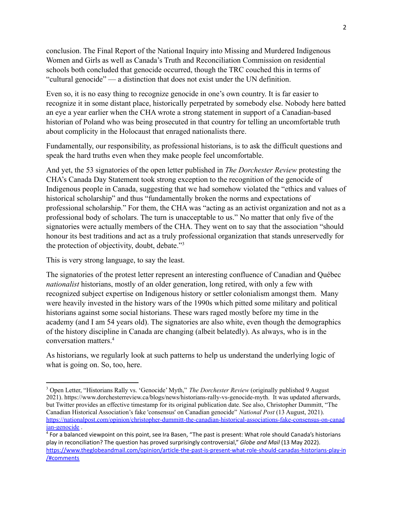conclusion. The Final Report of the National Inquiry into Missing and Murdered Indigenous Women and Girls as well as Canada's Truth and Reconciliation Commission on residential schools both concluded that genocide occurred, though the TRC couched this in terms of "cultural genocide" — a distinction that does not exist under the UN definition.

Even so, it is no easy thing to recognize genocide in one's own country. It is far easier to recognize it in some distant place, historically perpetrated by somebody else. Nobody here batted an eye a year earlier when the CHA wrote a strong statement in support of a Canadian-based historian of Poland who was being prosecuted in that country for telling an uncomfortable truth about complicity in the Holocaust that enraged nationalists there.

Fundamentally, our responsibility, as professional historians, is to ask the difficult questions and speak the hard truths even when they make people feel uncomfortable.

And yet, the 53 signatories of the open letter published in *The Dorchester Review* protesting the CHA's Canada Day Statement took strong exception to the recognition of the genocide of Indigenous people in Canada, suggesting that we had somehow violated the "ethics and values of historical scholarship" and thus "fundamentally broken the norms and expectations of professional scholarship." For them, the CHA was "acting as an activist organization and not as a professional body of scholars. The turn is unacceptable to us." No matter that only five of the signatories were actually members of the CHA. They went on to say that the association "should honour its best traditions and act as a truly professional organization that stands unreservedly for the protection of objectivity, doubt, debate."<sup>3</sup>

This is very strong language, to say the least.

The signatories of the protest letter represent an interesting confluence of Canadian and Québec *nationalist* historians, mostly of an older generation, long retired, with only a few with recognized subject expertise on Indigenous history or settler colonialism amongst them. Many were heavily invested in the history wars of the 1990s which pitted some military and political historians against some social historians. These wars raged mostly before my time in the academy (and I am 54 years old). The signatories are also white, even though the demographics of the history discipline in Canada are changing (albeit belatedly). As always, who is in the conversation matters.<sup>4</sup>

As historians, we regularly look at such patterns to help us understand the underlying logic of what is going on. So, too, here.

<sup>3</sup> Open Letter, "Historians Rally vs. 'Genocide' Myth," *The Dorchester Review* (originally published 9 August 2021). https://www.dorchesterreview.ca/blogs/news/historians-rally-vs-genocide-myth. It was updated afterwards, but Twitter provides an effective timestamp for its original publication date. See also, Christopher Dummitt, "The Canadian Historical Association's fake 'consensus' on Canadian genocide" *National Post* (13 August, 2021). [https://nationalpost.com/opinion/christopher-dummitt-the-canadian-historical-associations-fake-consensus-on-canad](https://nationalpost.com/opinion/christopher-dummitt-the-canadian-historical-associations-fake-consensus-on-canadian-genocide) [ian-genocide](https://nationalpost.com/opinion/christopher-dummitt-the-canadian-historical-associations-fake-consensus-on-canadian-genocide) .

 $4$  For a balanced viewpoint on this point, see Ira Basen, "The past is present: What role should Canada's historians play in reconciliation? The question has proved surprisingly controversial," *Globe and Mail* (13 May 2022). [https://www.theglobeandmail.com/opinion/article-the-past-is-present-what-role-should-canadas-historians-play-in](https://www.theglobeandmail.com/opinion/article-the-past-is-present-what-role-should-canadas-historians-play-in/#comments) [/#comments](https://www.theglobeandmail.com/opinion/article-the-past-is-present-what-role-should-canadas-historians-play-in/#comments)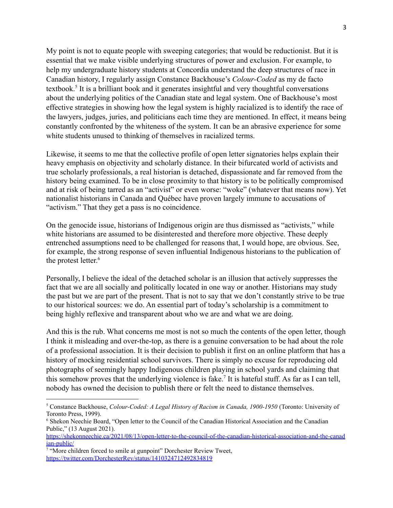My point is not to equate people with sweeping categories; that would be reductionist. But it is essential that we make visible underlying structures of power and exclusion. For example, to help my undergraduate history students at Concordia understand the deep structures of race in Canadian history, I regularly assign Constance Backhouse's *Colour-Coded* as my de facto textbook.<sup>5</sup> It is a brilliant book and it generates insightful and very thoughtful conversations about the underlying politics of the Canadian state and legal system. One of Backhouse's most effective strategies in showing how the legal system is highly racialized is to identify the race of the lawyers, judges, juries, and politicians each time they are mentioned. In effect, it means being constantly confronted by the whiteness of the system. It can be an abrasive experience for some white students unused to thinking of themselves in racialized terms.

Likewise, it seems to me that the collective profile of open letter signatories helps explain their heavy emphasis on objectivity and scholarly distance. In their bifurcated world of activists and true scholarly professionals, a real historian is detached, dispassionate and far removed from the history being examined. To be in close proximity to that history is to be politically compromised and at risk of being tarred as an "activist" or even worse: "woke" (whatever that means now). Yet nationalist historians in Canada and Québec have proven largely immune to accusations of "activism." That they get a pass is no coincidence.

On the genocide issue, historians of Indigenous origin are thus dismissed as "activists," while white historians are assumed to be disinterested and therefore more objective. These deeply entrenched assumptions need to be challenged for reasons that, I would hope, are obvious. See, for example, the strong response of seven influential Indigenous historians to the publication of the protest letter. 6

Personally, I believe the ideal of the detached scholar is an illusion that actively suppresses the fact that we are all socially and politically located in one way or another. Historians may study the past but we are part of the present. That is not to say that we don't constantly strive to be true to our historical sources: we do. An essential part of today's scholarship is a commitment to being highly reflexive and transparent about who we are and what we are doing.

And this is the rub. What concerns me most is not so much the contents of the open letter, though I think it misleading and over-the-top, as there is a genuine conversation to be had about the role of a professional association. It is their decision to publish it first on an online platform that has a history of mocking residential school survivors. There is simply no excuse for reproducing old photographs of seemingly happy Indigenous children playing in school yards and claiming that this somehow proves that the underlying violence is fake.<sup>7</sup> It is hateful stuff. As far as I can tell, nobody has owned the decision to publish there or felt the need to distance themselves.

<sup>5</sup> Constance Backhouse, *Colour-Coded: A Legal History of Racism in Canada, 1900-1950* (Toronto: University of Toronto Press, 1999).

<sup>6</sup> Shekon Neechie Board, "Open letter to the Council of the Canadian Historical Association and the Canadian Public," (13 August 2021).

[https://shekonneechie.ca/2021/08/13/open-letter-to-the-council-of-the-canadian-historical-association-and-the-canad](https://shekonneechie.ca/2021/08/13/open-letter-to-the-council-of-the-canadian-historical-association-and-the-canadian-public/) [ian-public/](https://shekonneechie.ca/2021/08/13/open-letter-to-the-council-of-the-canadian-historical-association-and-the-canadian-public/)

<sup>&</sup>lt;sup>7</sup> "More children forced to smile at gunpoint" Dorchester Review Tweet, <https://twitter.com/DorchesterRev/status/1410324712492834819>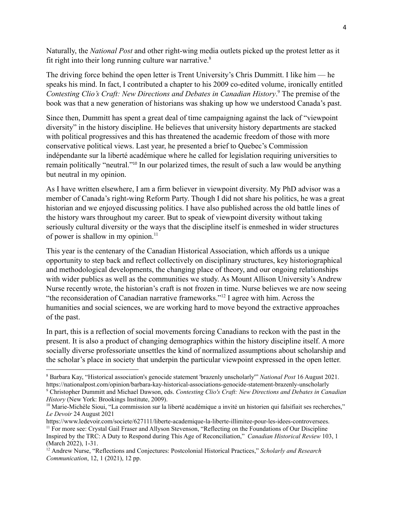Naturally, the *National Post* and other right-wing media outlets picked up the protest letter as it fit right into their long running culture war narrative.<sup>8</sup>

The driving force behind the open letter is Trent University's Chris Dummitt. I like him — he speaks his mind. In fact, I contributed a chapter to his 2009 co-edited volume, ironically entitled *Contesting Clio's Craft: New Directions and Debates in Canadian History*. <sup>9</sup> The premise of the book was that a new generation of historians was shaking up how we understood Canada's past.

Since then, Dummitt has spent a great deal of time campaigning against the lack of "viewpoint diversity" in the history discipline. He believes that university history departments are stacked with political progressives and this has threatened the academic freedom of those with more conservative political views. Last year, he presented a brief to Quebec's Commission indépendante sur la liberté académique where he called for legislation requiring universities to remain politically "neutral."<sup>10</sup> In our polarized times, the result of such a law would be anything but neutral in my opinion.

As I have written elsewhere, I am a firm believer in viewpoint diversity. My PhD advisor was a member of Canada's right-wing Reform Party. Though I did not share his politics, he was a great historian and we enjoyed discussing politics. I have also published across the old battle lines of the history wars throughout my career. But to speak of viewpoint diversity without taking seriously cultural diversity or the ways that the discipline itself is enmeshed in wider structures of power is shallow in my opinion. $11$ 

This year is the centenary of the Canadian Historical Association, which affords us a unique opportunity to step back and reflect collectively on disciplinary structures, key historiographical and methodological developments, the changing place of theory, and our ongoing relationships with wider publics as well as the communities we study. As Mount Allison University's Andrew Nurse recently wrote, the historian's craft is not frozen in time. Nurse believes we are now seeing "the reconsideration of Canadian narrative frameworks."<sup>12</sup> I agree with him. Across the humanities and social sciences, we are working hard to move beyond the extractive approaches of the past.

In part, this is a reflection of social movements forcing Canadians to reckon with the past in the present. It is also a product of changing demographics within the history discipline itself. A more socially diverse professoriate unsettles the kind of normalized assumptions about scholarship and the scholar's place in society that underpin the particular viewpoint expressed in the open letter.

<sup>9</sup> Christopher Dummitt and Michael Dawson, eds. *Contesting Clio's Craft: New Directions and Debates in Canadian History* (New York: Brookings Institute, 2009). <sup>8</sup> Barbara Kay, "Historical association's genocide statement 'brazenly unscholarly'" *National Post* 16 August 2021. https://nationalpost.com/opinion/barbara-kay-historical-associations-genocide-statement-brazenly-unscholarly

 $10$  Marie-Michèle Sioui, "La commission sur la liberté académique a invité un historien qui falsifiait ses recherches," *Le Devoir* 24 August 2021

<sup>&</sup>lt;sup>11</sup> For more see: Crystal Gail Fraser and Allyson Stevenson, "Reflecting on the Foundations of Our Discipline Inspired by the TRC: A Duty to Respond during This Age of Reconciliation," *Canadian Historical Review* 103, 1 (March 2022), 1-31. https://www.ledevoir.com/societe/627111/liberte-academique-la-liberte-illimitee-pour-les-idees-controversees.

<sup>12</sup> Andrew Nurse, "Reflections and Conjectures: Postcolonial Historical Practices," *Scholarly and Research Communication*, 12, 1 (2021), 12 pp.